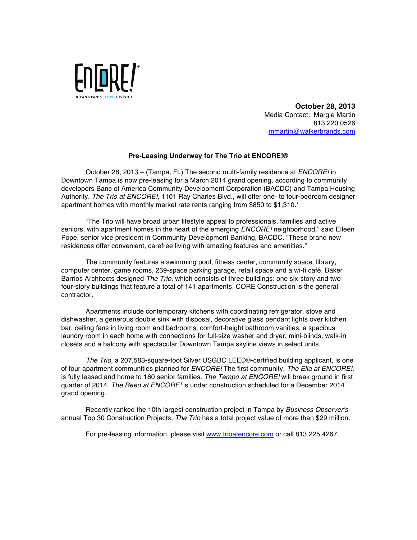

**October 28, 2013** Media Contact: Margie Martin 813.220.0526 mmartin@walkerbrands.com

## **Pre-Leasing Underway for The Trio at ENCORE!®**

October 28, 2013 – (Tampa, FL) The second multi-family residence at *ENCORE!* in Downtown Tampa is now pre-leasing for a March 2014 grand opening, according to community developers Banc of America Community Development Corporation (BACDC) and Tampa Housing Authority. *The Trio at ENCORE!,* 1101 Ray Charles Blvd., will offer one- to four-bedroom designer apartment homes with monthly market rate rents ranging from \$850 to \$1,310.\*

"The Trio will have broad urban lifestyle appeal to professionals, families and active seniors, with apartment homes in the heart of the emerging *ENCORE!* neighborhood," said Eileen Pope, senior vice president in Community Development Banking, BACDC. "These brand new residences offer convenient, carefree living with amazing features and amenities."

The community features a swimming pool, fitness center, community space, library, computer center, game rooms, 259-space parking garage, retail space and a wi-fi café. Baker Barrios Architects designed *The Trio*, which consists of three buildings: one six-story and two four-story buildings that feature a total of 141 apartments. CORE Construction is the general contractor.

Apartments include contemporary kitchens with coordinating refrigerator, stove and dishwasher, a generous double sink with disposal, decorative glass pendant lights over kitchen bar, ceiling fans in living room and bedrooms, comfort-height bathroom vanities, a spacious laundry room in each home with connections for full-size washer and dryer, mini-blinds, walk-in closets and a balcony with spectacular Downtown Tampa skyline views in select units.

*The Trio*, a 207,583-square-foot Silver USGBC LEED®-certified building applicant, is one of four apartment communities planned for *ENCORE!* The first community, *The Ella at ENCORE!,* is fully leased and home to 160 senior families. *The Tempo at ENCORE!* will break ground in first quarter of 2014. *The Reed at ENCORE!* is under construction scheduled for a December 2014 grand opening.

Recently ranked the 10th largest construction project in Tampa by *Business Observer's* annual Top 30 Construction Projects, *The Trio* has a total project value of more than \$29 million.

For pre-leasing information, please visit www.trioatencore.com or call 813.225.4267.